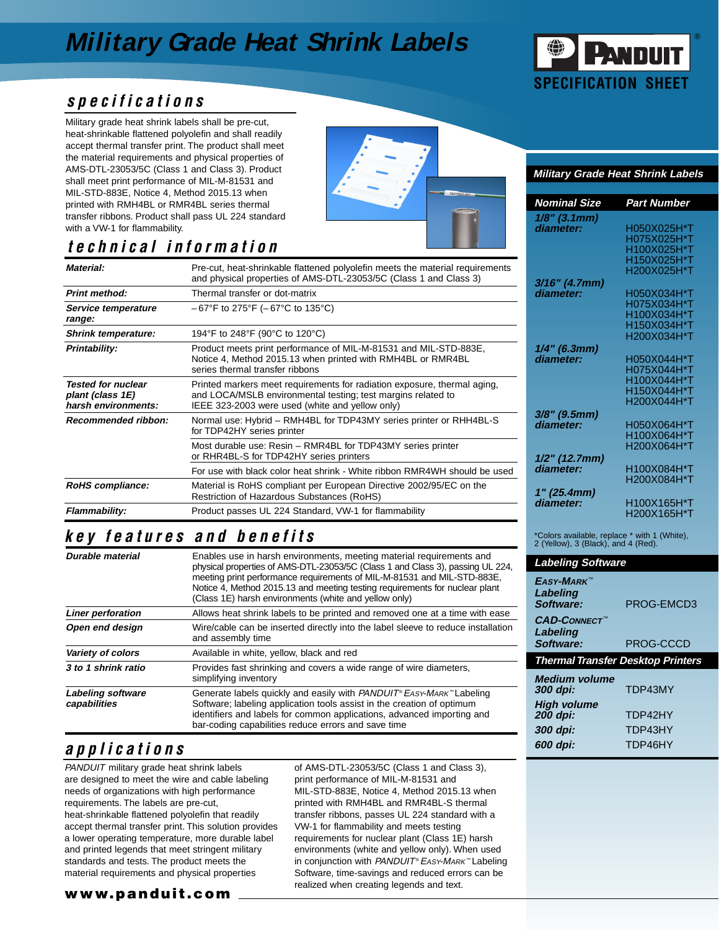## **Military Grade Heat Shrink Labels**



#### **specifications**

Military grade heat shrink labels shall be pre-cut, heat-shrinkable flattened polyolefin and shall readily accept thermal transfer print. The product shall meet the material requirements and physical properties of AMS-DTL-23053/5C (Class 1 and Class 3). Product shall meet print performance of MIL-M-81531 and MIL-STD-883E, Notice 4, Method 2015.13 when printed with RMH4BL or RMR4BL series thermal transfer ribbons. Product shall pass UL 224 standard with a VW-1 for flammability.

## **technical information**

| Material:                                                                                                                                                                                  | Pre-cut, heat-shrinkable flattened polyolefin meets the material requirements<br>and physical properties of AMS-DTL-23053/5C (Class 1 and Class 3)                                          |  |  |  |
|--------------------------------------------------------------------------------------------------------------------------------------------------------------------------------------------|---------------------------------------------------------------------------------------------------------------------------------------------------------------------------------------------|--|--|--|
| <b>Print method:</b>                                                                                                                                                                       | Thermal transfer or dot-matrix                                                                                                                                                              |  |  |  |
| Service temperature<br>range:                                                                                                                                                              | $-67^{\circ}$ F to 275°F ( $-67^{\circ}$ C to 135°C)                                                                                                                                        |  |  |  |
| <b>Shrink temperature:</b>                                                                                                                                                                 | 194°F to 248°F (90°C to 120°C)                                                                                                                                                              |  |  |  |
| Product meets print performance of MIL-M-81531 and MIL-STD-883E,<br><b>Printability:</b><br>Notice 4, Method 2015.13 when printed with RMH4BL or RMR4BL<br>series thermal transfer ribbons |                                                                                                                                                                                             |  |  |  |
| <b>Tested for nuclear</b><br>plant (class 1E)<br>harsh environments:                                                                                                                       | Printed markers meet requirements for radiation exposure, thermal aging,<br>and LOCA/MSLB environmental testing; test margins related to<br>IEEE 323-2003 were used (white and yellow only) |  |  |  |
| <b>Recommended ribbon:</b>                                                                                                                                                                 | Normal use: Hybrid – RMH4BL for TDP43MY series printer or RHH4BL-S<br>for TDP42HY series printer                                                                                            |  |  |  |
|                                                                                                                                                                                            | Most durable use: Resin – RMR4BL for TDP43MY series printer<br>or RHR4BL-S for TDP42HY series printers                                                                                      |  |  |  |
|                                                                                                                                                                                            | For use with black color heat shrink - White ribbon RMR4WH should be used                                                                                                                   |  |  |  |
| RoHS compliance:                                                                                                                                                                           | Material is RoHS compliant per European Directive 2002/95/EC on the<br>Restriction of Hazardous Substances (RoHS)                                                                           |  |  |  |
| Flammability:                                                                                                                                                                              | Product passes UL 224 Standard, VW-1 for flammability                                                                                                                                       |  |  |  |

### **key features and benefits**

| Durable material                  | Enables use in harsh environments, meeting material requirements and<br>physical properties of AMS-DTL-23053/5C (Class 1 and Class 3), passing UL 224,<br>meeting print performance requirements of MIL-M-81531 and MIL-STD-883E,<br>Notice 4, Method 2015.13 and meeting testing requirements for nuclear plant<br>(Class 1E) harsh environments (white and yellow only) |
|-----------------------------------|---------------------------------------------------------------------------------------------------------------------------------------------------------------------------------------------------------------------------------------------------------------------------------------------------------------------------------------------------------------------------|
| <b>Liner perforation</b>          | Allows heat shrink labels to be printed and removed one at a time with ease                                                                                                                                                                                                                                                                                               |
| Open end design                   | Wire/cable can be inserted directly into the label sleeve to reduce installation<br>and assembly time                                                                                                                                                                                                                                                                     |
| Variety of colors                 | Available in white, yellow, black and red                                                                                                                                                                                                                                                                                                                                 |
| 3 to 1 shrink ratio               | Provides fast shrinking and covers a wide range of wire diameters,<br>simplifying inventory                                                                                                                                                                                                                                                                               |
| Labeling software<br>capabilities | Generate labels quickly and easily with $PANDUIT$ <sup>®</sup> EASY-MARK <sup>™</sup> Labeling<br>Software; labeling application tools assist in the creation of optimum<br>identifiers and labels for common applications, advanced importing and<br>bar-coding capabilities reduce errors and save time                                                                 |

### **applications**

PANDUIT military grade heat shrink labels are designed to meet the wire and cable labeling needs of organizations with high performance requirements. The labels are pre-cut, heat-shrinkable flattened polyolefin that readily accept thermal transfer print. This solution provides a lower operating temperature, more durable label and printed legends that meet stringent military standards and tests. The product meets the material requirements and physical properties

of AMS-DTL-23053/5C (Class 1 and Class 3), print performance of MIL-M-81531 and MIL-STD-883E, Notice 4, Method 2015.13 when printed with RMH4BL and RMR4BL-S thermal transfer ribbons, passes UL 224 standard with a VW-1 for flammability and meets testing requirements for nuclear plant (Class 1E) harsh environments (white and yellow only). When used in conjunction with PANDUIT® EASY-MARK™ Labeling Software, time-savings and reduced errors can be realized when creating legends and text.

#### **Military Grade Heat Shrink Labels**

| Nominal Size             | Part Number |
|--------------------------|-------------|
| $1/8"$ (3.1mm)           |             |
| diameter:                | H050X025H*T |
|                          | H075X025H*T |
|                          | H100X025H*T |
|                          | H150X025H*T |
|                          | H200X025H*T |
| 3/16" (4.7mm)            |             |
| diameter:                | H050X034H*T |
|                          | H075X034H*T |
|                          | H100X034H*T |
|                          | H150X034H*T |
|                          | H200X034H*T |
| 1/4" (6.3mm)             |             |
| diameter:                | H050X044H*T |
|                          | H075X044H*T |
|                          | H100X044H*T |
|                          | H150X044H*T |
|                          | H200X044H*T |
| 3/8" (9.5mm)             |             |
| diameter:                | H050X064H*T |
|                          | H100X064H*T |
|                          | H200X064H*T |
| 1/2" (12.7mm)            |             |
| diameter:                | H100X084H*T |
|                          | H200X084H*T |
|                          |             |
| 1" (25.4mm)<br>diameter: | H100X165H*T |
|                          | H200X165H*T |
|                          |             |

\*Colors available, replace \* with 1 (White), 2 (Yellow), 3 (Black), and 4 (Red).

| <u>Labeling Software</u>                 |  |  |  |  |  |  |  |
|------------------------------------------|--|--|--|--|--|--|--|
| PROG-FMCD3                               |  |  |  |  |  |  |  |
| PROG-CCCD                                |  |  |  |  |  |  |  |
| <b>Thermal Transfer Desktop Printers</b> |  |  |  |  |  |  |  |
| TDP43MY                                  |  |  |  |  |  |  |  |
| TDP42HY                                  |  |  |  |  |  |  |  |
| TDP43HY                                  |  |  |  |  |  |  |  |
| TDP46HY                                  |  |  |  |  |  |  |  |
|                                          |  |  |  |  |  |  |  |